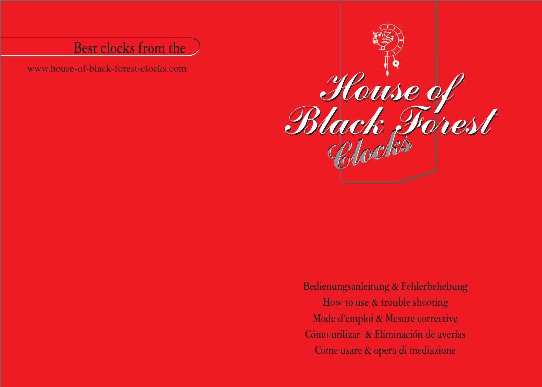# **Best clocks from the**

www.house-of-black-forest-clocks.com



**Bedienungsanleitung & Fehlerbehebung How to use & trouble shooting Mode d'emploi & Mesure corrective Cómo utilizar & Eliminación de averías Come usare & opera di mediazione**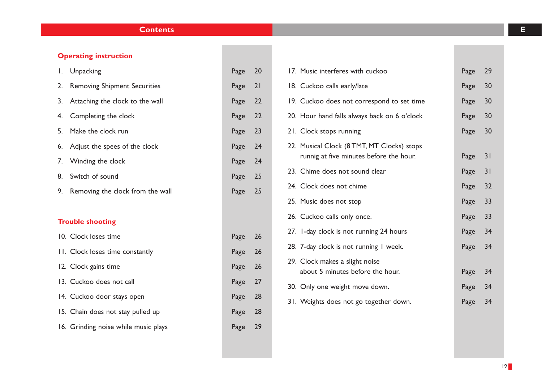## **Contents E**

## **Operating instruction**

| Ι.                      | Unpacking                            | Page | 20 |
|-------------------------|--------------------------------------|------|----|
| 2.                      | <b>Removing Shipment Securities</b>  | Page | 21 |
| 3.                      | Attaching the clock to the wall      | Page | 22 |
| 4.                      | Completing the clock                 | Page | 22 |
| 5.                      | Make the clock run                   | Page | 23 |
| 6.                      | Adjust the spees of the clock        | Page | 24 |
| 7.                      | Winding the clock                    | Page | 24 |
| 8.                      | Switch of sound                      | Page | 25 |
| 9.                      | Removing the clock from the wall     | Page | 25 |
|                         |                                      |      |    |
| <b>Trouble shooting</b> |                                      |      |    |
|                         | 10. Clock loses time                 | Page | 26 |
|                         |                                      |      |    |
|                         | 11. Clock loses time constantly      | Page | 26 |
|                         | 12. Clock gains time                 | Page | 26 |
|                         | 13. Cuckoo does not call             | Page | 27 |
|                         | 14. Cuckoo door stays open           | Page | 28 |
|                         | 15. Chain does not stay pulled up    | Page | 28 |
|                         | 16. Grinding noise while music plays | Page | 29 |

| 17. Music interferes with cuckoo             | Page | 29 |
|----------------------------------------------|------|----|
| 18. Cuckoo calls early/late                  | Page | 30 |
| 19. Cuckoo does not correspond to set time   | Page | 30 |
| 20. Hour hand falls always back on 6 o'clock | Page | 30 |
| 21. Clock stops running                      | Page | 30 |
| 22. Musical Clock (8 TMT, MT Clocks) stops   |      |    |
| runnig at five minutes before the hour.      | Page | 31 |
| 23. Chime does not sound clear               | Page | 31 |
| 24. Clock does not chime                     | Page | 32 |
| 25. Music does not stop                      | Page | 33 |
| 26. Cuckoo calls only once.                  | Page | 33 |
| 27. I-day clock is not running 24 hours      | Page | 34 |
| 28. 7-day clock is not running I week.       | Page | 34 |
| 29. Clock makes a slight noise               |      |    |
| about 5 minutes before the hour.             | Page | 34 |
| 30. Only one weight move down.               | Page | 34 |
| 31. Weights does not go together down.       | Page | 34 |
|                                              |      |    |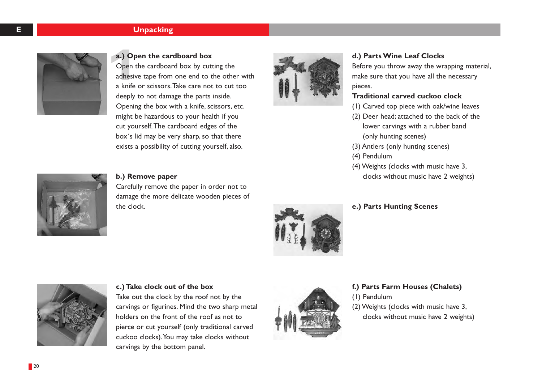## **E Unpacking**



## **a.) Open the cardboard box**

 $\begin{bmatrix} a \\ b \end{bmatrix}$ <br>  $\begin{bmatrix} 1 \\ 2 \end{bmatrix}$  adhesing Open the cardboard box by cutting the adhesive tape from one end to the other with a knife or scissors.Take care not to cut too deeply to not damage the parts inside. Opening the box with a knife, scissors, etc. might be hazardous to your health if you cut yourself.The cardboard edges of the box´s lid may be very sharp, so that there exists a possibility of cutting yourself, also.



## **d.) Parts Wine Leaf Clocks**

Before you throw away the wrapping material, make sure that you have all the necessary pieces.

## **Traditional carved cuckoo clock**

- (1) Carved top piece with oak/wine leaves
- (2) Deer head; attached to the back of the lower carvings with a rubber band (only hunting scenes)
- (3) Antlers (only hunting scenes)
- (4) Pendulum
- (4) Weights (clocks with music have 3, clocks without music have 2 weights)



### **b.) Remove paper**

Carefully remove the paper in order not to damage the more delicate wooden pieces of the clock.



**e.) Parts Hunting Scenes**



### **c.) Take clock out of the box**

Take out the clock by the roof not by the carvings or figurines. Mind the two sharp metal holders on the front of the roof as not to pierce or cut yourself (only traditional carved cuckoo clocks).You may take clocks without carvings by the bottom panel.



## **f.) Parts Farm Houses (Chalets)**

(1) Pendulum

(2) Weights (clocks with music have 3, clocks without music have 2 weights)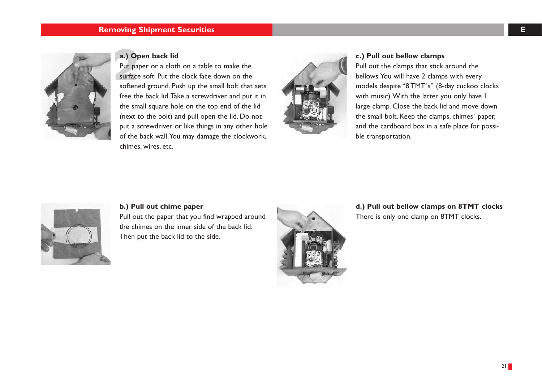## **Removing Shipment Securities EQUATE: EQUATE: EQUATE: EQUATE: EQUATE: EQUATE: EQUATE: EQUATE:**



## **a.) Open back lid**

**a.) Open back lid**<br>
Put paper or a cloth on a table to make the<br>
surface soft. Put the clock face down on the<br>
surface soft. Put the clock face down on the<br>
surface soft. Put the clock face down on the<br>
surface soft. Put Put paper or a cloth on a table to make the surface soft. Put the clock face down on the softened ground. Push up the small bolt that sets free the back lid.Take a screwdriver and put it in the small square hole on the top end of the lid (next to the bolt) and pull open the lid. Do not put a screwdriver or like things in any other hole of the back wall.You may damage the clockwork, chimes, wires, etc.



Pull out the clamps that stick around the bellows.You will have 2 clamps with every models despite "8 TMT´s" (8-day cuckoo clocks with music).With the latter you only have 1 large clamp. Close the back lid and move down the small bolt. Keep the clamps, chimes´ paper, and the cardboard box in a safe place for possible transportation.



## **b.) Pull out chime paper**

Pull out the paper that you find wrapped around the chimes on the inner side of the back lid. Then put the back lid to the side.



**d.) Pull out bellow clamps on 8TMT clocks**  There is only one clamp on 8TMT clocks.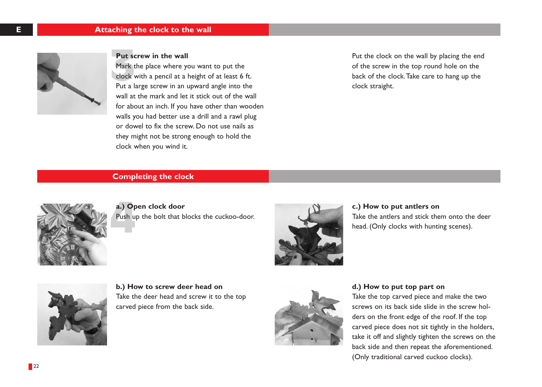

## **Put screw in the wall**

Put so Mark the place where you want to put the clock with a pencil at a height of at least 6 ft. Put a large screw in an upward angle into the wall at the mark and let it stick out of the wall for about an inch. If you have other than wooden walls you had better use a drill and a rawl plug or dowel to fix the screw. Do not use nails as they might not be strong enough to hold the clock when you wind it.

Put the clock on the wall by placing the end of the screw in the top round hole on the back of the clock.Take care to hang up the clock straight.

## **Completing the clock**



a.) Op<br>Push u **a.) Open clock door**  Push up the bolt that blocks the cuckoo-door.



**c.) How to put antlers on**  Take the antlers and stick them onto the deer head. (Only clocks with hunting scenes).



**b.) How to screw deer head on**  Take the deer head and screw it to the top carved piece from the back side.



**d.) How to put top part on**  Take the top carved piece and make the two screws on its back side slide in the screw holders on the front edge of the roof. If the top carved piece does not sit tightly in the holders, take it off and slightly tighten the screws on the back side and then repeat the aforementioned. (Only traditional carved cuckoo clocks).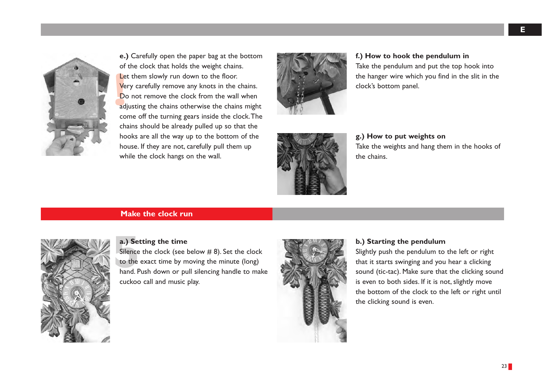

Le<br>
Ve<br>
Do<br>
adj **e.)** Carefully open the paper bag at the bottom of the clock that holds the weight chains. Let them slowly run down to the floor. Very carefully remove any knots in the chains. Do not remove the clock from the wall when adjusting the chains otherwise the chains might come off the turning gears inside the clock.The chains should be already pulled up so that the hooks are all the way up to the bottom of the house. If they are not, carefully pull them up while the clock hangs on the wall.



## **f.) How to hook the pendulum in**  Take the pendulum and put the top hook into

the hanger wire which you find in the slit in the clock's bottom panel.

## **g.) How to put weights on**  Take the weights and hang them in the hooks of the chains.

## **Make the clock run**



## **a.) Setting the time**

a.) Se<br>Silence<br>to the<br>band E Silence the clock (see below # 8). Set the clock to the exact time by moving the minute (long) hand. Push down or pull silencing handle to make cuckoo call and music play.



## **b.) Starting the pendulum**

Slightly push the pendulum to the left or right that it starts swinging and you hear a clicking sound (tic-tac). Make sure that the clicking sound is even to both sides. If it is not, slightly move the bottom of the clock to the left or right until the clicking sound is even.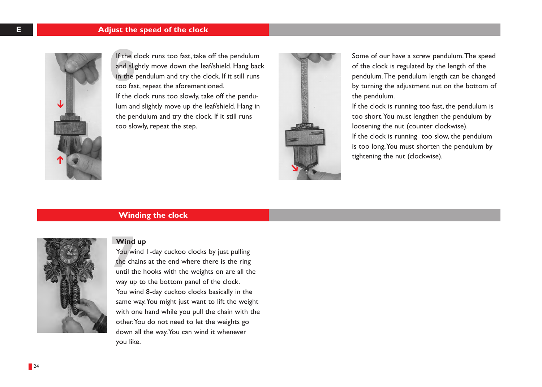

If the d<br>and slip<br>in the<br>too for If the clock runs too fast, take off the pendulum and slightly move down the leaf/shield. Hang back in the pendulum and try the clock. If it still runs too fast, repeat the aforementioned. If the clock runs too slowly, take off the pendulum and slightly move up the leaf/shield. Hang in the pendulum and try the clock. If it still runs too slowly, repeat the step.



Some of our have a screw pendulum.The speed of the clock is regulated by the length of the pendulum.The pendulum length can be changed by turning the adjustment nut on the bottom of the pendulum.

If the clock is running too fast, the pendulum is too short.You must lengthen the pendulum by loosening the nut (counter clockwise). If the clock is running too slow, the pendulum is too long.You must shorten the pendulum by tightening the nut (clockwise).

## **Winding the clock**



## **Wind up**

Wind<br>You withe change You wind 1-day cuckoo clocks by just pulling the chains at the end where there is the ring until the hooks with the weights on are all the way up to the bottom panel of the clock. You wind 8-day cuckoo clocks basically in the same way.You might just want to lift the weight with one hand while you pull the chain with the other.You do not need to let the weights go down all the way.You can wind it whenever you like.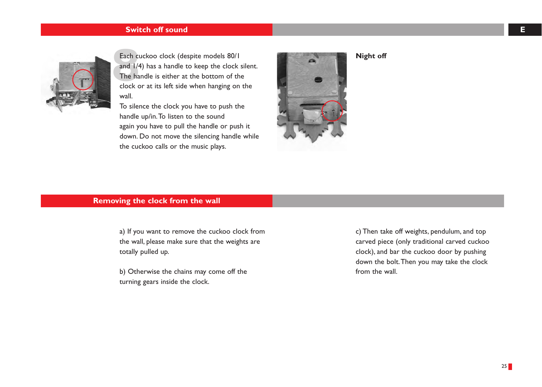## **Switch off sound E**



Each c<br>and  $1/4$ <br>The ha Each cuckoo clock (despite models 80/1 and 1/4) has a handle to keep the clock silent. The handle is either at the bottom of the clock or at its left side when hanging on the wall.

To silence the clock you have to push the handle up/in.To listen to the sound again you have to pull the handle or push it down. Do not move the silencing handle while the cuckoo calls or the music plays.



**Night off**

## **Removing the clock from the wall**

a) If you want to remove the cuckoo clock from the wall, please make sure that the weights are totally pulled up.

b) Otherwise the chains may come off the turning gears inside the clock.

c) Then take off weights, pendulum, and top carved piece (only traditional carved cuckoo clock), and bar the cuckoo door by pushing down the bolt.Then you may take the clock from the wall.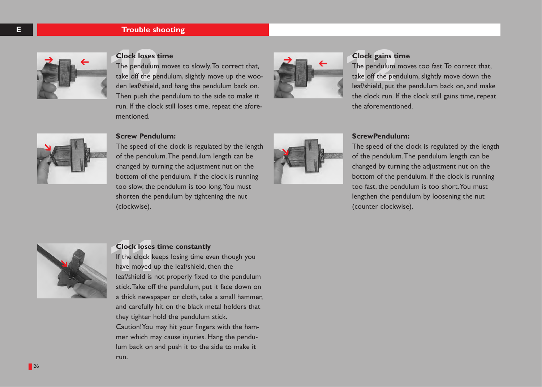## **E Trouble shooting**



**Clock loses t**<br>The pendulum<br>take off the per Clock loses time<br>The pendulum moves to slowly. To correct that,<br>take off the pendulum, slightly move up the woo-<br>don los<sup>t/shiold</sup> and hang the pendulum back on The pendulum moves to slowly.To correct that, take off the pendulum, slightly move up the wooden leaf/shield, and hang the pendulum back on. Then push the pendulum to the side to make it run. If the clock still loses time, repeat the aforementioned.



## **Clock gains time**

The pendulum moves too fast. To correct that, take off the pendulum, slightly move down the leaf/shield, put the pendulum back on, and make the clock run. If the clock still gains time, repeat the aforementioned.



### **Screw Pendulum:**

The speed of the clock is regulated by the length of the pendulum.The pendulum length can be changed by turning the adjustment nut on the bottom of the pendulum. If the clock is running too slow, the pendulum is too long.You must shorten the pendulum by tightening the nut (clockwise).



### **ScrewPendulum:**

The speed of the clock is regulated by the length of the pendulum.The pendulum length can be changed by turning the adjustment nut on the bottom of the pendulum. If the clock is running too fast, the pendulum is too short.You must lengthen the pendulum by loosening the nut (counter clockwise).



### **Clock loses time constantly**

run.

**Clock loses**<br>If the clock ke<br>have moved u If the clock keeps losing time even though you have moved up the leaf/shield, then the leaf/shield is not properly fixed to the pendulum stick.Take off the pendulum, put it face down on a thick newspaper or cloth, take a small hammer, and carefully hit on the black metal holders that they tighter hold the pendulum stick. Caution!You may hit your fingers with the hammer which may cause injuries. Hang the pendulum back on and push it to the side to make it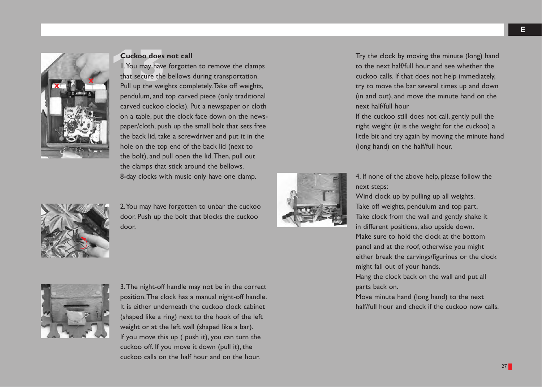

**Cuckoo does not call**<br>1. You may have forgotte that secure the bellows 1.You may have forgotten to remove the clamps that secure the bellows during transportation. Pull up the weights completely.Take off weights, pendulum, and top carved piece (only traditional carved cuckoo clocks). Put a newspaper or cloth on a table, put the clock face down on the newspaper/cloth, push up the small bolt that sets free the back lid, take a screwdriver and put it in the hole on the top end of the back lid (next to the bolt), and pull open the lid.Then, pull out the clamps that stick around the bellows. 8-day clocks with music only have one clamp.

2.You may have forgotten to unbar the cuckoo door. Push up the bolt that blocks the cuckoo door.



Try the clock by moving the minute (long) hand to the next half/full hour and see whether the cuckoo calls. If that does not help immediately, try to move the bar several times up and down (in and out), and move the minute hand on the next half/full hour

If the cuckoo still does not call, gently pull the right weight (it is the weight for the cuckoo) a little bit and try again by moving the minute hand (long hand) on the half/full hour.

4. If none of the above help, please follow the next steps:

Wind clock up by pulling up all weights. Take off weights, pendulum and top part. Take clock from the wall and gently shake it in different positions, also upside down. Make sure to hold the clock at the bottom panel and at the roof, otherwise you might either break the carvings/figurines or the clock might fall out of your hands.

Hang the clock back on the wall and put all parts back on.

Move minute hand (long hand) to the next half/full hour and check if the cuckoo now calls.



3.The night-off handle may not be in the correct position.The clock has a manual night-off handle. It is either underneath the cuckoo clock cabinet (shaped like a ring) next to the hook of the left weight or at the left wall (shaped like a bar). If you move this up ( push it), you can turn the cuckoo off. If you move it down (pull it), the cuckoo calls on the half hour and on the hour.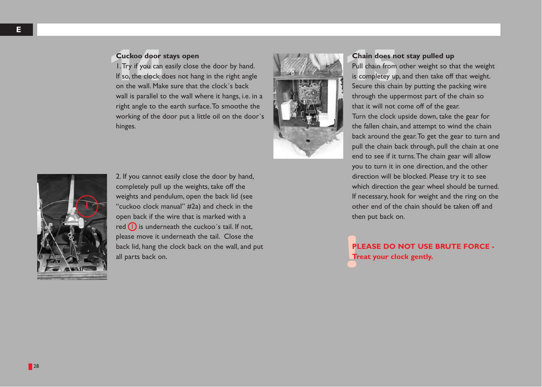Cuckoo door stays open<br>
1. Try if you can easily close the door by hand.<br>
If so, the clock does not hang in the right angle<br>
on the wall Make sure that the clock's back<br>
Cosume this completey up<br>
Secure this chain 1.Try if you can easily close the door by hand. If so, the clock does not hang in the right angle on the wall. Make sure that the clock´s back wall is parallel to the wall where it hangs, i.e. in a right angle to the earth surface.To smoothe the working of the door put a little oil on the door´s hinges.



## **Chain does not stay pulled up**

Pull chain from other weight so that the weight is completey up, and then take off that weight. Secure this chain by putting the packing wire through the uppermost part of the chain so that it will not come off of the gear. Turn the clock upside down, take the gear for the fallen chain, and attempt to wind the chain back around the gear.To get the gear to turn and pull the chain back through, pull the chain at one end to see if it turns.The chain gear will allow you to turn it in one direction, and the other direction will be blocked. Please try it to see which direction the gear wheel should be turned. If necessary, hook for weight and the ring on the other end of the chain should be taken off and then put back on.

PI<br>Tr **PLEASE DO NOT USE BRUTE FORCE - Treat your clock gently.**



2. If you cannot easily close the door by hand, completely pull up the weights, take off the weights and pendulum, open the back lid (see "cuckoo clock manual" #2a) and check in the open back if the wire that is marked with a red  $\bigcap$  is underneath the cuckoo's tail. If not, please move it underneath the tail. Close the back lid, hang the clock back on the wall, and put all parts back on.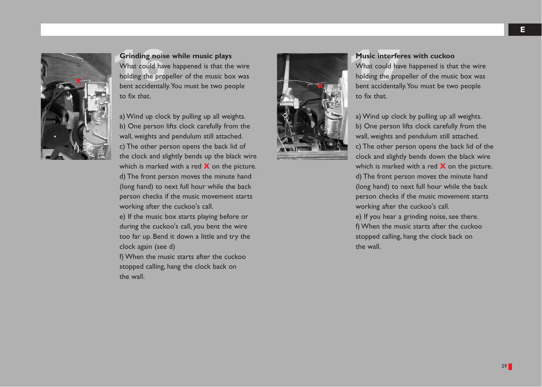

Grinding noise while music plays<br>What could have happened is that the wire<br>holding the propeller of the music box was<br>hort accidentally You must be two people What could have happened is that the wire holding the propeller of the music box was bent accidentally.You must be two people to fix that.

a) Wind up clock by pulling up all weights. b) One person lifts clock carefully from the wall, weights and pendulum still attached. c) The other person opens the back lid of the clock and slightly bends up the black wire which is marked with a red **X** on the picture. d) The front person moves the minute hand (long hand) to next full hour while the back person checks if the music movement starts working after the cuckoo's call.

e) If the music box starts playing before or during the cuckoo's call, you bent the wire too far up. Bend it down a little and try the clock again (see d)

f) When the music starts after the cuckoo stopped calling, hang the clock back on the wall.



## **Music interferes with cuckoo**

What could have happened is that the wire holding the propeller of the music box was bent accidentally.You must be two people to fix that.

a) Wind up clock by pulling up all weights. b) One person lifts clock carefully from the wall, weights and pendulum still attached. c) The other person opens the back lid of the clock and slightly bends down the black wire which is marked with a red **X** on the picture. d) The front person moves the minute hand (long hand) to next full hour while the back person checks if the music movement starts working after the cuckoo's call.

e) If you hear a grinding noise, see there. f) When the music starts after the cuckoo stopped calling, hang the clock back on the wall.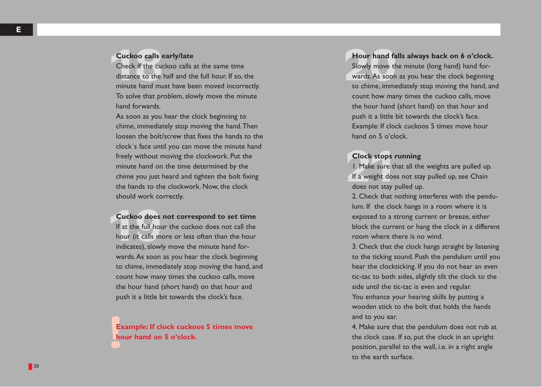## **Cuckoo calls early/late**

**Cuckoo calls**<br>Check if the cu<br>distance to the Check if the cuckoo calls at the same time distance to the half and the full hour. If so, the minute hand must have been moved incorrectly. To solve that problem, slowly move the minute hand forwards.

As soon as you hear the clock beginning to chime, immediately stop moving the hand.Then loosen the bolt/screw that fixes the hands to the clock´s face until you can move the minute hand freely without moving the clockwork. Put the minute hand on the time determined by the chime you just heard and tighten the bolt fixing the hands to the clockwork. Now, the clock should work correctly.

**Cuckoo does**<br>If at the full hour<br>hour (it calls m **Cuckoo does not correspond to set time** If at the full hour the cuckoo does not call the hour (it calls more or less often than the hour indicates), slowly move the minute hand forwards.As soon as you hear the clock beginning to chime, immediately stop moving the hand, and count how many times the cuckoo calls, move the hour hand (short hand) on that hour and push it a little bit towards the clock's face.

E<sub>b</sub><br>
hc **Example: If clock cuckoos 5 times move hour hand on 5 o'clock.**

### 20**Hour hand falls always back on 6 o'clock.**

Slowly move the minute (long hand) hand forwards.As soon as you hear the clock beginning to chime, immediately stop moving the hand, and count how many times the cuckoo calls, move the hour hand (short hand) on that hour and push it a little bit towards the clock's face. Example: If clock cuckoos 5 times move hour hand on 5 o'clock.

## **Clock stops running**

**Clock stops I**<br>1. Make sure the If a weight does 1. Make sure that all the weights are pulled up. If a weight does not stay pulled up, see Chain does not stay pulled up.

2. Check that nothing interferes with the pendulum. If the clock hangs in a room where it is exposed to a strong current or breeze, either block the current or hang the clock in a different room where there is no wind.

3. Check that the clock hangs straight by listening to the ticking sound. Push the pendulum until you hear the clockticking. If you do not hear an even tic-tac to both sides, slightly tilt the clock to the side until the tic-tac is even and regular. You enhance your hearing skills by putting a wooden stick to the bolt that holds the hands and to you ear.

4. Make sure that the pendulum does not rub at the clock case. If so, put the clock in an upright position, parallel to the wall, i.e. in a right angle to the earth surface.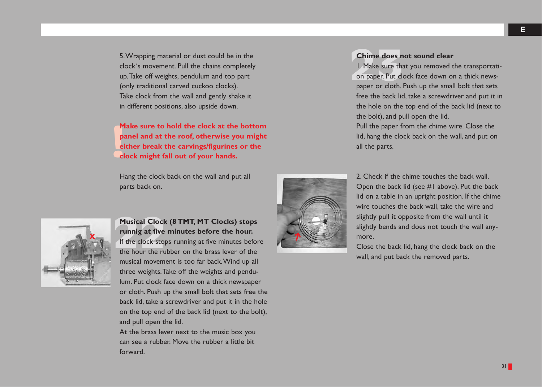5.Wrapping material or dust could be in the clock´s movement. Pull the chains completely up.Take off weights, pendulum and top part (only traditional carved cuckoo clocks). Take clock from the wall and gently shake it in different positions, also upside down.

M<br>Pa<br>ei<br>cl **Make sure to hold the clock at the bottom panel and at the roof, otherwise you might either break the carvings/figurines or the clock might fall out of your hands.**

Hang the clock back on the wall and put all parts back on.



22**Musical Clock (8 TMT, MT Clocks) stops runnig at five minutes before the hour.** If the clock stops running at five minutes before the hour the rubber on the brass lever of the musical movement is too far back.Wind up all three weights.Take off the weights and pendulum. Put clock face down on a thick newspaper or cloth. Push up the small bolt that sets free the back lid, take a screwdriver and put it in the hole on the top end of the back lid (next to the bolt),

At the brass lever next to the music box you can see a rubber. Move the rubber a little bit forward.

and pull open the lid.

**Chime does not sound clear**<br>1. Make sure that you removed to<br>10 paper. Put clock face down of 1. Make sure that you removed the transportation paper. Put clock face down on a thick newspaper or cloth. Push up the small bolt that sets free the back lid, take a screwdriver and put it in the hole on the top end of the back lid (next to the bolt), and pull open the lid.

Pull the paper from the chime wire. Close the lid, hang the clock back on the wall, and put on all the parts.



2. Check if the chime touches the back wall. Open the back lid (see #1 above). Put the back lid on a table in an upright position. If the chime wire touches the back wall, take the wire and slightly pull it opposite from the wall until it slightly bends and does not touch the wall anymore.

Close the back lid, hang the clock back on the wall, and put back the removed parts.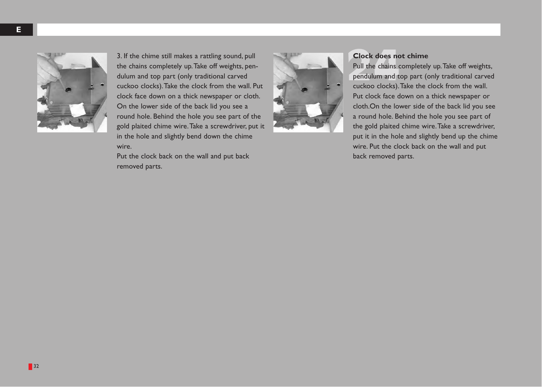

3. If the chime still makes a rattling sound, pull the chains completely up.Take off weights, pendulum and top part (only traditional carved cuckoo clocks).Take the clock from the wall. Put clock face down on a thick newspaper or cloth. On the lower side of the back lid you see a round hole. Behind the hole you see part of the gold plaited chime wire.Take a screwdriver, put it in the hole and slightly bend down the chime wire.

Put the clock back on the wall and put back removed parts.



**24** Clock does not chime<br>Pull the chains completely<br>pendulum and top part ( Pull the chains completely up.Take off weights, pendulum and top part (only traditional carved cuckoo clocks).Take the clock from the wall. Put clock face down on a thick newspaper or cloth.On the lower side of the back lid you see a round hole. Behind the hole you see part of the gold plaited chime wire.Take a screwdriver, put it in the hole and slightly bend up the chime wire. Put the clock back on the wall and put back removed parts.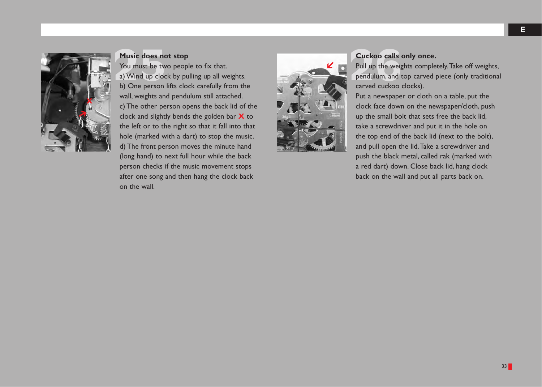

**Music does not stop**<br>You must be two peop<br>a) Wind up clock by pu You must be two people to fix that. a) Wind up clock by pulling up all weights. b) One person lifts clock carefully from the wall, weights and pendulum still attached. c) The other person opens the back lid of the clock and slightly bends the golden bar **X** to the left or to the right so that it fall into that hole (marked with a dart) to stop the music. d) The front person moves the minute hand (long hand) to next full hour while the back person checks if the music movement stops after one song and then hang the clock back on the wall.



## 26**Cuckoo calls only once.**

Pull up the weights completely.Take off weights, pendulum, and top carved piece (only traditional carved cuckoo clocks).

Put a newspaper or cloth on a table, put the clock face down on the newspaper/cloth, push up the small bolt that sets free the back lid, take a screwdriver and put it in the hole on the top end of the back lid (next to the bolt), and pull open the lid.Take a screwdriver and push the black metal, called rak (marked with a red dart) down. Close back lid, hang clock back on the wall and put all parts back on.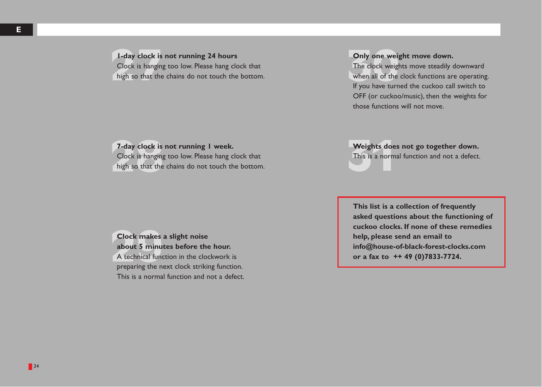## **1-day clock is not running 24 hours**

**1-day clock is**<br>Clock is hanging<br>high so that the Clock is hanging too low. Please hang clock that high so that the chains do not touch the bottom.

## **Only one weight move down.**

**Only one weight<br>The clock weight<br>when all of the<br>If you have turn** The clock weights move steadily downward when all of the clock functions are operating. If you have turned the cuckoo call switch to OFF (or cuckoo/music), then the weights for those functions will not move.

### **7-day clock is not running 1 week.**

7-day clock is<br>Clock is hanging<br>high so that the Clock is hanging too low. Please hang clock that high so that the chains do not touch the bottom.

### **Weights does not go together down.**

Weights does<br>This is a norm: This is a normal function and not a defect.

Clock makes<br>about 5 minu<br>A technical fund **Clock makes a slight noise about 5 minutes before the hour.** A technical function in the clockwork is preparing the next clock striking function. This is a normal function and not a defect. **This list is a collection of frequently asked questions about the functioning of cuckoo clocks. If none of these remedies help, please send an email to info@house-of-black-forest-clocks.com or a fax to ++ 49 (0)7833-7724.**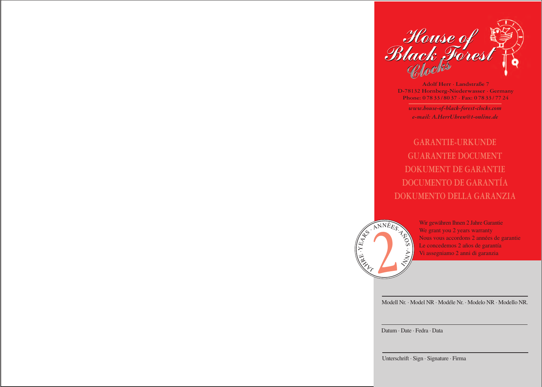

**Adolf Herr · Landstraße 7 D-78132 Hornberg-Niederwasser · Germany Phone: 0 78 33 / 80 37 · Fax: 0 78 33 / 77 24**

*www.house-of-black-forest-clocks.com e-mail: A.HerrUhren@t-online.de*

**GARANTIE-URKUNDE GUARANTEE DOCUMENT DOKUMENT DE GARANTIE DOCUMENTO DE GARANTÍA DOKUMENTO DELLA GARANZIA**



Wir gewähren Ihnen 2 Jahre Garantie We grant you 2 years warranty Nous vous accordons 2 années de garantie Le concedemos 2 años de garantía Vi assegniamo 2 anni di garanzia

Modell Nr. · Model NR · Modéle Nr. · Modelo NR · Modello NR.

Datum · Date · Fedra · Data

Unterschrift · Sign · Signature · Firma